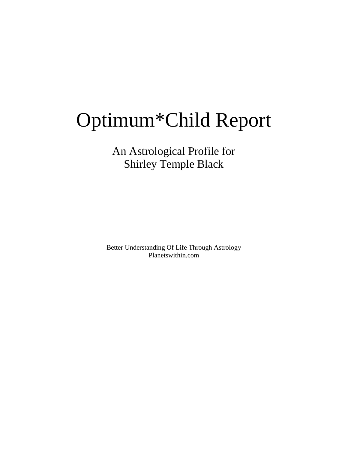# Optimum\*Child Report

An Astrological Profile for Shirley Temple Black

Better Understanding Of Life Through Astrology Planetswithin.com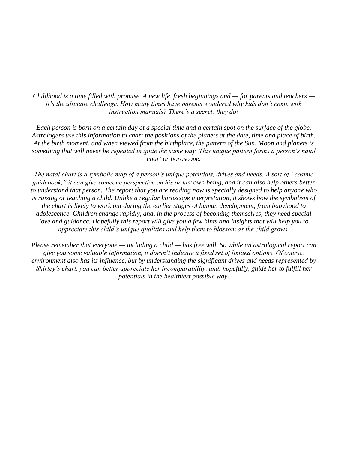*Childhood is a time filled with promise. A new life, fresh beginnings and — for parents and teachers it's the ultimate challenge. How many times have parents wondered why kids don't come with instruction manuals? There's a secret: they do!*

*Each person is born on a certain day at a special time and a certain spot on the surface of the globe. Astrologers use this information to chart the positions of the planets at the date, time and place of birth. At the birth moment, and when viewed from the birthplace, the pattern of the Sun, Moon and planets is something that will never be repeated in quite the same way. This unique pattern forms a person's natal chart or horoscope.*

*The natal chart is a symbolic map of a person's unique potentials, drives and needs. A sort of "cosmic guidebook," it can give someone perspective on his or her own being, and it can also help others better to understand that person. The report that you are reading now is specially designed to help anyone who is raising or teaching a child. Unlike a regular horoscope interpretation, it shows how the symbolism of the chart is likely to work out during the earlier stages of human development, from babyhood to adolescence. Children change rapidly, and, in the process of becoming themselves, they need special*  love and guidance. Hopefully this report will give you a few hints and insights that will help you to *appreciate this child's unique qualities and help them to blossom as the child grows.*

*Please remember that everyone — including a child — has free will. So while an astrological report can give you some valuable information, it doesn't indicate a fixed set of limited options. Of course, environment also has its influence, but by understanding the significant drives and needs represented by Shirley's chart, you can better appreciate her incomparability, and, hopefully, guide her to fulfill her potentials in the healthiest possible way.*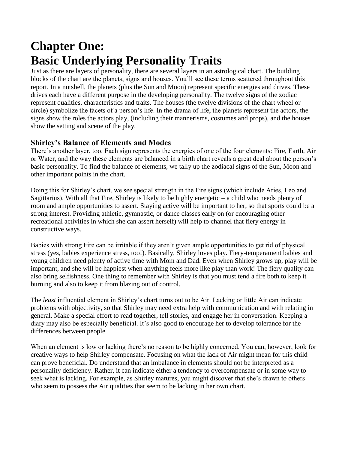### **Chapter One: Basic Underlying Personality Traits**

Just as there are layers of personality, there are several layers in an astrological chart. The building blocks of the chart are the planets, signs and houses. You'll see these terms scattered throughout this report. In a nutshell, the planets (plus the Sun and Moon) represent specific energies and drives. These drives each have a different purpose in the developing personality. The twelve signs of the zodiac represent qualities, characteristics and traits. The houses (the twelve divisions of the chart wheel or circle) symbolize the facets of a person's life. In the drama of life, the planets represent the actors, the signs show the roles the actors play, (including their mannerisms, costumes and props), and the houses show the setting and scene of the play.

#### **Shirley's Balance of Elements and Modes**

There's another layer, too. Each sign represents the energies of one of the four elements: Fire, Earth, Air or Water, and the way these elements are balanced in a birth chart reveals a great deal about the person's basic personality. To find the balance of elements, we tally up the zodiacal signs of the Sun, Moon and other important points in the chart.

Doing this for Shirley's chart, we see special strength in the Fire signs (which include Aries, Leo and Sagittarius). With all that Fire, Shirley is likely to be highly energetic – a child who needs plenty of room and ample opportunities to assert. Staying active will be important to her, so that sports could be a strong interest. Providing athletic, gymnastic, or dance classes early on (or encouraging other recreational activities in which she can assert herself) will help to channel that fiery energy in constructive ways.

Babies with strong Fire can be irritable if they aren't given ample opportunities to get rid of physical stress (yes, babies experience stress, too!). Basically, Shirley loves play. Fiery-temperament babies and young children need plenty of active time with Mom and Dad. Even when Shirley grows up, play will be important, and she will be happiest when anything feels more like play than work! The fiery quality can also bring selfishness. One thing to remember with Shirley is that you must tend a fire both to keep it burning and also to keep it from blazing out of control.

The *least* influential element in Shirley's chart turns out to be Air. Lacking or little Air can indicate problems with objectivity, so that Shirley may need extra help with communication and with relating in general. Make a special effort to read together, tell stories, and engage her in conversation. Keeping a diary may also be especially beneficial. It's also good to encourage her to develop tolerance for the differences between people.

When an element is low or lacking there's no reason to be highly concerned. You can, however, look for creative ways to help Shirley compensate. Focusing on what the lack of Air might mean for this child can prove beneficial. Do understand that an imbalance in elements should not be interpreted as a personality deficiency. Rather, it can indicate either a tendency to overcompensate or in some way to seek what is lacking. For example, as Shirley matures, you might discover that she's drawn to others who seem to possess the Air qualities that seem to be lacking in her own chart.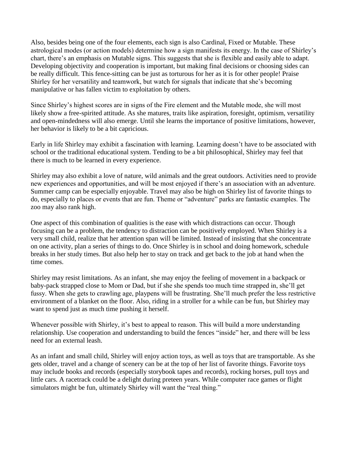Also, besides being one of the four elements, each sign is also Cardinal, Fixed or Mutable. These astrological modes (or action models) determine how a sign manifests its energy. In the case of Shirley's chart, there's an emphasis on Mutable signs. This suggests that she is flexible and easily able to adapt. Developing objectivity and cooperation is important, but making final decisions or choosing sides can be really difficult. This fence-sitting can be just as torturous for her as it is for other people! Praise Shirley for her versatility and teamwork, but watch for signals that indicate that she's becoming manipulative or has fallen victim to exploitation by others.

Since Shirley's highest scores are in signs of the Fire element and the Mutable mode, she will most likely show a free-spirited attitude. As she matures, traits like aspiration, foresight, optimism, versatility and open-mindedness will also emerge. Until she learns the importance of positive limitations, however, her behavior is likely to be a bit capricious.

Early in life Shirley may exhibit a fascination with learning. Learning doesn't have to be associated with school or the traditional educational system. Tending to be a bit philosophical, Shirley may feel that there is much to be learned in every experience.

Shirley may also exhibit a love of nature, wild animals and the great outdoors. Activities need to provide new experiences and opportunities, and will be most enjoyed if there's an association with an adventure. Summer camp can be especially enjoyable. Travel may also be high on Shirley list of favorite things to do, especially to places or events that are fun. Theme or "adventure" parks are fantastic examples. The zoo may also rank high.

One aspect of this combination of qualities is the ease with which distractions can occur. Though focusing can be a problem, the tendency to distraction can be positively employed. When Shirley is a very small child, realize that her attention span will be limited. Instead of insisting that she concentrate on one activity, plan a series of things to do. Once Shirley is in school and doing homework, schedule breaks in her study times. But also help her to stay on track and get back to the job at hand when the time comes.

Shirley may resist limitations. As an infant, she may enjoy the feeling of movement in a backpack or baby-pack strapped close to Mom or Dad, but if she she spends too much time strapped in, she'll get fussy. When she gets to crawling age, playpens will be frustrating. She'll much prefer the less restrictive environment of a blanket on the floor. Also, riding in a stroller for a while can be fun, but Shirley may want to spend just as much time pushing it herself.

Whenever possible with Shirley, it's best to appeal to reason. This will build a more understanding relationship. Use cooperation and understanding to build the fences "inside" her, and there will be less need for an external leash.

As an infant and small child, Shirley will enjoy action toys, as well as toys that are transportable. As she gets older, travel and a change of scenery can be at the top of her list of favorite things. Favorite toys may include books and records (especially storybook tapes and records), rocking horses, pull toys and little cars. A racetrack could be a delight during preteen years. While computer race games or flight simulators might be fun, ultimately Shirley will want the "real thing."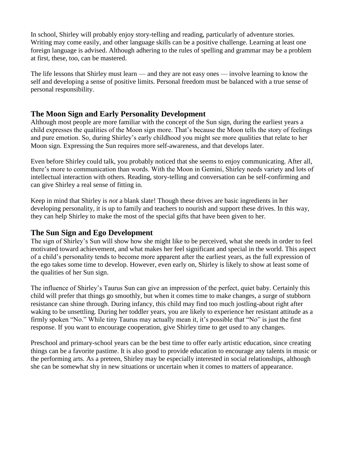In school, Shirley will probably enjoy story-telling and reading, particularly of adventure stories. Writing may come easily, and other language skills can be a positive challenge. Learning at least one foreign language is advised. Although adhering to the rules of spelling and grammar may be a problem at first, these, too, can be mastered.

The life lessons that Shirley must learn — and they are not easy ones — involve learning to know the self and developing a sense of positive limits. Personal freedom must be balanced with a true sense of personal responsibility.

#### **The Moon Sign and Early Personality Development**

Although most people are more familiar with the concept of the Sun sign, during the earliest years a child expresses the qualities of the Moon sign more. That's because the Moon tells the story of feelings and pure emotion. So, during Shirley's early childhood you might see more qualities that relate to her Moon sign. Expressing the Sun requires more self-awareness, and that develops later.

Even before Shirley could talk, you probably noticed that she seems to enjoy communicating. After all, there's more to communication than words. With the Moon in Gemini, Shirley needs variety and lots of intellectual interaction with others. Reading, story-telling and conversation can be self-confirming and can give Shirley a real sense of fitting in.

Keep in mind that Shirley is *not* a blank slate! Though these drives are basic ingredients in her developing personality, it is up to family and teachers to nourish and support these drives. In this way, they can help Shirley to make the most of the special gifts that have been given to her.

#### **The Sun Sign and Ego Development**

The sign of Shirley's Sun will show how she might like to be perceived, what she needs in order to feel motivated toward achievement, and what makes her feel significant and special in the world. This aspect of a child's personality tends to become more apparent after the earliest years, as the full expression of the ego takes some time to develop. However, even early on, Shirley is likely to show at least some of the qualities of her Sun sign.

The influence of Shirley's Taurus Sun can give an impression of the perfect, quiet baby. Certainly this child will prefer that things go smoothly, but when it comes time to make changes, a surge of stubborn resistance can shine through. During infancy, this child may find too much jostling-about right after waking to be unsettling. During her toddler years, you are likely to experience her resistant attitude as a firmly spoken "No." While tiny Taurus may actually mean it, it's possible that "No" is just the first response. If you want to encourage cooperation, give Shirley time to get used to any changes.

Preschool and primary-school years can be the best time to offer early artistic education, since creating things can be a favorite pastime. It is also good to provide education to encourage any talents in music or the performing arts. As a preteen, Shirley may be especially interested in social relationships, although she can be somewhat shy in new situations or uncertain when it comes to matters of appearance.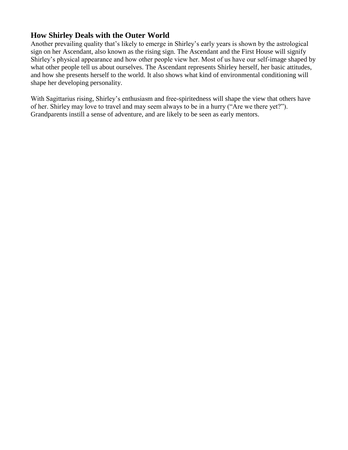#### **How Shirley Deals with the Outer World**

Another prevailing quality that's likely to emerge in Shirley's early years is shown by the astrological sign on her Ascendant, also known as the rising sign. The Ascendant and the First House will signify Shirley's physical appearance and how other people view her. Most of us have our self-image shaped by what other people tell us about ourselves. The Ascendant represents Shirley herself, her basic attitudes, and how she presents herself to the world. It also shows what kind of environmental conditioning will shape her developing personality.

With Sagittarius rising, Shirley's enthusiasm and free-spiritedness will shape the view that others have of her. Shirley may love to travel and may seem always to be in a hurry ("Are we there yet?"). Grandparents instill a sense of adventure, and are likely to be seen as early mentors.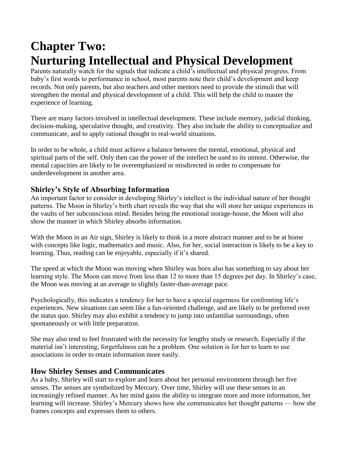## **Chapter Two: Nurturing Intellectual and Physical Development**

Parents naturally watch for the signals that indicate a child's intellectual and physical progress. From baby's first words to performance in school, most parents note their child's development and keep records. Not only parents, but also teachers and other mentors need to provide the stimuli that will strengthen the mental and physical development of a child. This will help the child to master the experience of learning.

There are many factors involved in intellectual development. These include memory, judicial thinking, decision-making, speculative thought, and creativity. They also include the ability to conceptualize and communicate, and to apply rational thought to real-world situations.

In order to be whole, a child must achieve a balance between the mental, emotional, physical and spiritual parts of the self. Only then can the power of the intellect be used to its utmost. Otherwise, the mental capacities are likely to be overemphasized or misdirected in order to compensate for underdevelopment in another area.

#### **Shirley's Style of Absorbing Information**

An important factor to consider in developing Shirley's intellect is the individual nature of her thought patterns. The Moon in Shirley's birth chart reveals the way that she will store her unique experiences in the vaults of her subconscious mind. Besides being the emotional storage-house, the Moon will also show the manner in which Shirley absorbs information.

With the Moon in an Air sign, Shirley is likely to think in a more abstract manner and to be at home with concepts like logic, mathematics and music. Also, for her, social interaction is likely to be a key to learning. Thus, reading can be enjoyable, especially if it's shared.

The speed at which the Moon was moving when Shirley was born also has something to say about her learning style. The Moon can move from less than 12 to more than 15 degrees per day. In Shirley's case, the Moon was moving at an average to slightly faster-than-average pace.

Psychologically, this indicates a tendency for her to have a special eagerness for confronting life's experiences. New situations can seem like a fun-oriented challenge, and are likely to be preferred over the status quo. Shirley may also exhibit a tendency to jump into unfamiliar surroundings, often spontaneously or with little preparation.

She may also tend to feel frustrated with the necessity for lengthy study or research. Especially if the material isn't interesting, forgetfulness can be a problem. One solution is for her to learn to use associations in order to retain information more easily.

#### **How Shirley Senses and Communicates**

As a baby, Shirley will start to explore and learn about her personal environment through her five senses. The senses are symbolized by Mercury. Over time, Shirley will use these senses in an increasingly refined manner. As her mind gains the ability to integrate more and more information, her learning will increase. Shirley's Mercury shows how she communicates her thought patterns — how she frames concepts and expresses them to others.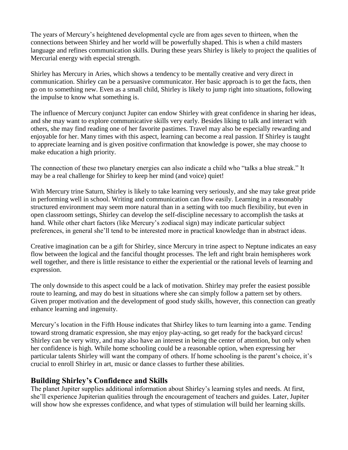The years of Mercury's heightened developmental cycle are from ages seven to thirteen, when the connections between Shirley and her world will be powerfully shaped. This is when a child masters language and refines communication skills. During these years Shirley is likely to project the qualities of Mercurial energy with especial strength.

Shirley has Mercury in Aries, which shows a tendency to be mentally creative and very direct in communication. Shirley can be a persuasive communicator. Her basic approach is to get the facts, then go on to something new. Even as a small child, Shirley is likely to jump right into situations, following the impulse to know what something is.

The influence of Mercury conjunct Jupiter can endow Shirley with great confidence in sharing her ideas, and she may want to explore communicative skills very early. Besides liking to talk and interact with others, she may find reading one of her favorite pastimes. Travel may also be especially rewarding and enjoyable for her. Many times with this aspect, learning can become a real passion. If Shirley is taught to appreciate learning and is given positive confirmation that knowledge is power, she may choose to make education a high priority.

The connection of these two planetary energies can also indicate a child who "talks a blue streak." It may be a real challenge for Shirley to keep her mind (and voice) quiet!

With Mercury trine Saturn, Shirley is likely to take learning very seriously, and she may take great pride in performing well in school. Writing and communication can flow easily. Learning in a reasonably structured environment may seem more natural than in a setting with too much flexibility, but even in open classroom settings, Shirley can develop the self-discipline necessary to accomplish the tasks at hand. While other chart factors (like Mercury's zodiacal sign) may indicate particular subject preferences, in general she'll tend to be interested more in practical knowledge than in abstract ideas.

Creative imagination can be a gift for Shirley, since Mercury in trine aspect to Neptune indicates an easy flow between the logical and the fanciful thought processes. The left and right brain hemispheres work well together, and there is little resistance to either the experiential or the rational levels of learning and expression.

The only downside to this aspect could be a lack of motivation. Shirley may prefer the easiest possible route to learning, and may do best in situations where she can simply follow a pattern set by others. Given proper motivation and the development of good study skills, however, this connection can greatly enhance learning and ingenuity.

Mercury's location in the Fifth House indicates that Shirley likes to turn learning into a game. Tending toward strong dramatic expression, she may enjoy play-acting, so get ready for the backyard circus! Shirley can be very witty, and may also have an interest in being the center of attention, but only when her confidence is high. While home schooling could be a reasonable option, when expressing her particular talents Shirley will want the company of others. If home schooling is the parent's choice, it's crucial to enroll Shirley in art, music or dance classes to further these abilities.

#### **Building Shirley's Confidence and Skills**

The planet Jupiter supplies additional information about Shirley's learning styles and needs. At first, she'll experience Jupiterian qualities through the encouragement of teachers and guides. Later, Jupiter will show how she expresses confidence, and what types of stimulation will build her learning skills.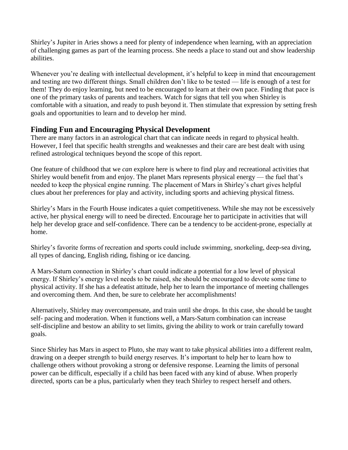Shirley's Jupiter in Aries shows a need for plenty of independence when learning, with an appreciation of challenging games as part of the learning process. She needs a place to stand out and show leadership abilities.

Whenever you're dealing with intellectual development, it's helpful to keep in mind that encouragement and testing are two different things. Small children don't like to be tested — life is enough of a test for them! They do enjoy learning, but need to be encouraged to learn at their own pace. Finding that pace is one of the primary tasks of parents and teachers. Watch for signs that tell you when Shirley is comfortable with a situation, and ready to push beyond it. Then stimulate that expression by setting fresh goals and opportunities to learn and to develop her mind.

#### **Finding Fun and Encouraging Physical Development**

There are many factors in an astrological chart that can indicate needs in regard to physical health. However, I feel that specific health strengths and weaknesses and their care are best dealt with using refined astrological techniques beyond the scope of this report.

One feature of childhood that we *can* explore here is where to find play and recreational activities that Shirley would benefit from and enjoy. The planet Mars represents physical energy — the fuel that's needed to keep the physical engine running. The placement of Mars in Shirley's chart gives helpful clues about her preferences for play and activity, including sports and achieving physical fitness.

Shirley's Mars in the Fourth House indicates a quiet competitiveness. While she may not be excessively active, her physical energy will to need be directed. Encourage her to participate in activities that will help her develop grace and self-confidence. There can be a tendency to be accident-prone, especially at home.

Shirley's favorite forms of recreation and sports could include swimming, snorkeling, deep-sea diving, all types of dancing, English riding, fishing or ice dancing.

A Mars-Saturn connection in Shirley's chart could indicate a potential for a low level of physical energy. If Shirley's energy level needs to be raised, she should be encouraged to devote some time to physical activity. If she has a defeatist attitude, help her to learn the importance of meeting challenges and overcoming them. And then, be sure to celebrate her accomplishments!

Alternatively, Shirley may overcompensate, and train until she drops. In this case, she should be taught self- pacing and moderation. When it functions well, a Mars-Saturn combination can increase self-discipline and bestow an ability to set limits, giving the ability to work or train carefully toward goals.

Since Shirley has Mars in aspect to Pluto, she may want to take physical abilities into a different realm, drawing on a deeper strength to build energy reserves. It's important to help her to learn how to challenge others without provoking a strong or defensive response. Learning the limits of personal power can be difficult, especially if a child has been faced with any kind of abuse. When properly directed, sports can be a plus, particularly when they teach Shirley to respect herself and others.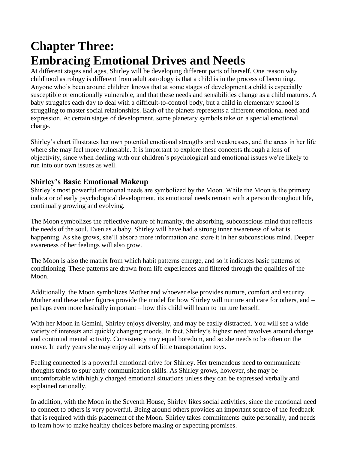### **Chapter Three: Embracing Emotional Drives and Needs**

At different stages and ages, Shirley will be developing different parts of herself. One reason why childhood astrology is different from adult astrology is that a child is in the process of becoming. Anyone who's been around children knows that at some stages of development a child is especially susceptible or emotionally vulnerable, and that these needs and sensibilities change as a child matures. A baby struggles each day to deal with a difficult-to-control body, but a child in elementary school is struggling to master social relationships. Each of the planets represents a different emotional need and expression. At certain stages of development, some planetary symbols take on a special emotional charge.

Shirley's chart illustrates her own potential emotional strengths and weaknesses, and the areas in her life where she may feel more vulnerable. It is important to explore these concepts through a lens of objectivity, since when dealing with our children's psychological and emotional issues we're likely to run into our own issues as well.

#### **Shirley's Basic Emotional Makeup**

Shirley's most powerful emotional needs are symbolized by the Moon. While the Moon is the primary indicator of early psychological development, its emotional needs remain with a person throughout life, continually growing and evolving.

The Moon symbolizes the reflective nature of humanity, the absorbing, subconscious mind that reflects the needs of the soul. Even as a baby, Shirley will have had a strong inner awareness of what is happening. As she grows, she'll absorb more information and store it in her subconscious mind. Deeper awareness of her feelings will also grow.

The Moon is also the matrix from which habit patterns emerge, and so it indicates basic patterns of conditioning. These patterns are drawn from life experiences and filtered through the qualities of the Moon.

Additionally, the Moon symbolizes Mother and whoever else provides nurture, comfort and security. Mother and these other figures provide the model for how Shirley will nurture and care for others, and – perhaps even more basically important – how this child will learn to nurture herself.

With her Moon in Gemini, Shirley enjoys diversity, and may be easily distracted. You will see a wide variety of interests and quickly changing moods. In fact, Shirley's highest need revolves around change and continual mental activity. Consistency may equal boredom, and so she needs to be often on the move. In early years she may enjoy all sorts of little transportation toys.

Feeling connected is a powerful emotional drive for Shirley. Her tremendous need to communicate thoughts tends to spur early communication skills. As Shirley grows, however, she may be uncomfortable with highly charged emotional situations unless they can be expressed verbally and explained rationally.

In addition, with the Moon in the Seventh House, Shirley likes social activities, since the emotional need to connect to others is very powerful. Being around others provides an important source of the feedback that is required with this placement of the Moon. Shirley takes commitments quite personally, and needs to learn how to make healthy choices before making or expecting promises.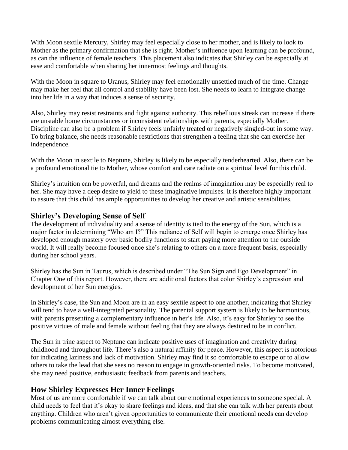With Moon sextile Mercury, Shirley may feel especially close to her mother, and is likely to look to Mother as the primary confirmation that she is right. Mother's influence upon learning can be profound, as can the influence of female teachers. This placement also indicates that Shirley can be especially at ease and comfortable when sharing her innermost feelings and thoughts.

With the Moon in square to Uranus, Shirley may feel emotionally unsettled much of the time. Change may make her feel that all control and stability have been lost. She needs to learn to integrate change into her life in a way that induces a sense of security.

Also, Shirley may resist restraints and fight against authority. This rebellious streak can increase if there are unstable home circumstances or inconsistent relationships with parents, especially Mother. Discipline can also be a problem if Shirley feels unfairly treated or negatively singled-out in some way. To bring balance, she needs reasonable restrictions that strengthen a feeling that she can exercise her independence.

With the Moon in sextile to Neptune, Shirley is likely to be especially tenderhearted. Also, there can be a profound emotional tie to Mother, whose comfort and care radiate on a spiritual level for this child.

Shirley's intuition can be powerful, and dreams and the realms of imagination may be especially real to her. She may have a deep desire to yield to these imaginative impulses. It is therefore highly important to assure that this child has ample opportunities to develop her creative and artistic sensibilities.

#### **Shirley's Developing Sense of Self**

The development of individuality and a sense of identity is tied to the energy of the Sun, which is a major factor in determining "Who am I?" This radiance of Self will begin to emerge once Shirley has developed enough mastery over basic bodily functions to start paying more attention to the outside world. It will really become focused once she's relating to others on a more frequent basis, especially during her school years.

Shirley has the Sun in Taurus, which is described under "The Sun Sign and Ego Development" in Chapter One of this report. However, there are additional factors that color Shirley's expression and development of her Sun energies.

In Shirley's case, the Sun and Moon are in an easy sextile aspect to one another, indicating that Shirley will tend to have a well-integrated personality. The parental support system is likely to be harmonious, with parents presenting a complementary influence in her's life. Also, it's easy for Shirley to see the positive virtues of male and female without feeling that they are always destined to be in conflict.

The Sun in trine aspect to Neptune can indicate positive uses of imagination and creativity during childhood and throughout life. There's also a natural affinity for peace. However, this aspect is notorious for indicating laziness and lack of motivation. Shirley may find it so comfortable to escape or to allow others to take the lead that she sees no reason to engage in growth-oriented risks. To become motivated, she may need positive, enthusiastic feedback from parents and teachers.

#### **How Shirley Expresses Her Inner Feelings**

Most of us are more comfortable if we can talk about our emotional experiences to someone special. A child needs to feel that it's okay to share feelings and ideas, and that she can talk with her parents about anything. Children who aren't given opportunities to communicate their emotional needs can develop problems communicating almost everything else.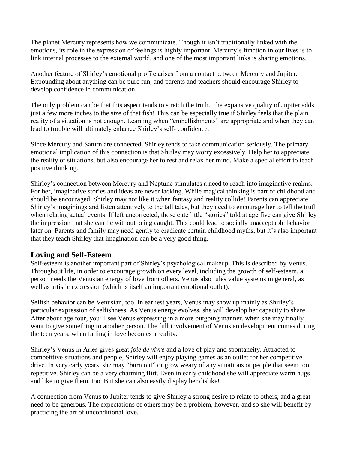The planet Mercury represents how we communicate. Though it isn't traditionally linked with the emotions, its role in the expression of feelings is highly important. Mercury's function in our lives is to link internal processes to the external world, and one of the most important links is sharing emotions.

Another feature of Shirley's emotional profile arises from a contact between Mercury and Jupiter. Expounding about anything can be pure fun, and parents and teachers should encourage Shirley to develop confidence in communication.

The only problem can be that this aspect tends to stretch the truth. The expansive quality of Jupiter adds just a few more inches to the size of that fish! This can be especially true if Shirley feels that the plain reality of a situation is not enough. Learning when "embellishments" are appropriate and when they can lead to trouble will ultimately enhance Shirley's self- confidence.

Since Mercury and Saturn are connected, Shirley tends to take communication seriously. The primary emotional implication of this connection is that Shirley may worry excessively. Help her to appreciate the reality of situations, but also encourage her to rest and relax her mind. Make a special effort to teach positive thinking.

Shirley's connection between Mercury and Neptune stimulates a need to reach into imaginative realms. For her, imaginative stories and ideas are never lacking. While magical thinking is part of childhood and should be encouraged, Shirley may not like it when fantasy and reality collide! Parents can appreciate Shirley's imaginings and listen attentively to the tall tales, but they need to encourage her to tell the truth when relating actual events. If left uncorrected, those cute little "stories" told at age five can give Shirley the impression that she can lie without being caught. This could lead to socially unacceptable behavior later on. Parents and family may need gently to eradicate certain childhood myths, but it's also important that they teach Shirley that imagination can be a very good thing.

#### **Loving and Self-Esteem**

Self-esteem is another important part of Shirley's psychological makeup. This is described by Venus. Throughout life, in order to encourage growth on every level, including the growth of self-esteem, a person needs the Venusian energy of love from others. Venus also rules value systems in general, as well as artistic expression (which is itself an important emotional outlet).

Selfish behavior can be Venusian, too. In earliest years, Venus may show up mainly as Shirley's particular expression of selfishness. As Venus energy evolves, she will develop her capacity to share. After about age four, you'll see Venus expressing in a more outgoing manner, when she may finally want to give something to another person. The full involvement of Venusian development comes during the teen years, when falling in love becomes a reality.

Shirley's Venus in Aries gives great *joie de vivre* and a love of play and spontaneity. Attracted to competitive situations and people, Shirley will enjoy playing games as an outlet for her competitive drive. In very early years, she may "burn out" or grow weary of any situations or people that seem too repetitive. Shirley can be a very charming flirt. Even in early childhood she will appreciate warm hugs and like to give them, too. But she can also easily display her dislike!

A connection from Venus to Jupiter tends to give Shirley a strong desire to relate to others, and a great need to be generous. The expectations of others may be a problem, however, and so she will benefit by practicing the art of unconditional love.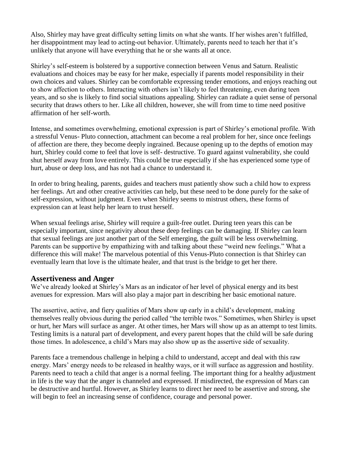Also, Shirley may have great difficulty setting limits on what she wants. If her wishes aren't fulfilled, her disappointment may lead to acting-out behavior. Ultimately, parents need to teach her that it's unlikely that anyone will have everything that he or she wants all at once.

Shirley's self-esteem is bolstered by a supportive connection between Venus and Saturn. Realistic evaluations and choices may be easy for her make, especially if parents model responsibility in their own choices and values. Shirley can be comfortable expressing tender emotions, and enjoys reaching out to show affection to others. Interacting with others isn't likely to feel threatening, even during teen years, and so she is likely to find social situations appealing. Shirley can radiate a quiet sense of personal security that draws others to her. Like all children, however, she will from time to time need positive affirmation of her self-worth.

Intense, and sometimes overwhelming, emotional expression is part of Shirley's emotional profile. With a stressful Venus- Pluto connection, attachment can become a real problem for her, since once feelings of affection are there, they become deeply ingrained. Because opening up to the depths of emotion may hurt, Shirley could come to feel that love is self- destructive. To guard against vulnerability, she could shut herself away from love entirely. This could be true especially if she has experienced some type of hurt, abuse or deep loss, and has not had a chance to understand it.

In order to bring healing, parents, guides and teachers must patiently show such a child how to express her feelings. Art and other creative activities can help, but these need to be done purely for the sake of self-expression, without judgment. Even when Shirley seems to mistrust others, these forms of expression can at least help her learn to trust herself.

When sexual feelings arise, Shirley will require a guilt-free outlet. During teen years this can be especially important, since negativity about these deep feelings can be damaging. If Shirley can learn that sexual feelings are just another part of the Self emerging, the guilt will be less overwhelming. Parents can be supportive by empathizing with and talking about these "weird new feelings." What a difference this will make! The marvelous potential of this Venus-Pluto connection is that Shirley can eventually learn that love is the ultimate healer, and that trust is the bridge to get her there.

#### **Assertiveness and Anger**

We've already looked at Shirley's Mars as an indicator of her level of physical energy and its best avenues for expression. Mars will also play a major part in describing her basic emotional nature.

The assertive, active, and fiery qualities of Mars show up early in a child's development, making themselves really obvious during the period called "the terrible twos." Sometimes, when Shirley is upset or hurt, her Mars will surface as anger. At other times, her Mars will show up as an attempt to test limits. Testing limits is a natural part of development, and every parent hopes that the child will be safe during those times. In adolescence, a child's Mars may also show up as the assertive side of sexuality.

Parents face a tremendous challenge in helping a child to understand, accept and deal with this raw energy. Mars' energy needs to be released in healthy ways, or it will surface as aggression and hostility. Parents need to teach a child that anger is a normal feeling. The important thing for a healthy adjustment in life is the way that the anger is channeled and expressed. If misdirected, the expression of Mars can be destructive and hurtful. However, as Shirley learns to direct her need to be assertive and strong, she will begin to feel an increasing sense of confidence, courage and personal power.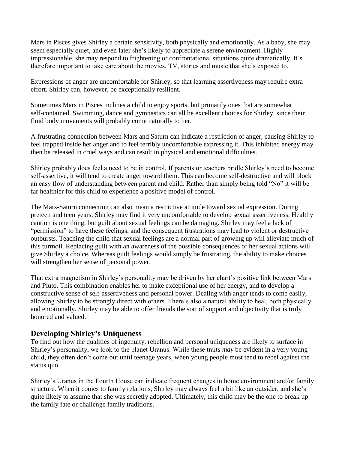Mars in Pisces gives Shirley a certain sensitivity, both physically and emotionally. As a baby, she may seem especially quiet, and even later she's likely to appreciate a serene environment. Highly impressionable, she may respond to frightening or confrontational situations quite dramatically. It's therefore important to take care about the movies, TV, stories and music that she's exposed to.

Expressions of anger are uncomfortable for Shirley, so that learning assertiveness may require extra effort. Shirley can, however, be exceptionally resilient.

Sometimes Mars in Pisces inclines a child to enjoy sports, but primarily ones that are somewhat self-contained. Swimming, dance and gymnastics can all be excellent choices for Shirley, since their fluid body movements will probably come naturally to her.

A frustrating connection between Mars and Saturn can indicate a restriction of anger, causing Shirley to feel trapped inside her anger and to feel terribly uncomfortable expressing it. This inhibited energy may then be released in cruel ways and can result in physical and emotional difficulties.

Shirley probably does feel a need to be in control. If parents or teachers bridle Shirley's need to become self-assertive, it will tend to create anger toward them. This can become self-destructive and will block an easy flow of understanding between parent and child. Rather than simply being told "No" it will be far healthier for this child to experience a positive model of control.

The Mars-Saturn connection can also mean a restrictive attitude toward sexual expression. During preteen and teen years, Shirley may find it very uncomfortable to develop sexual assertiveness. Healthy caution is one thing, but guilt about sexual feelings can be damaging. Shirley may feel a lack of "permission" to have these feelings, and the consequent frustrations may lead to violent or destructive outbursts. Teaching the child that sexual feelings are a normal part of growing up will alleviate much of this turmoil. Replacing guilt with an awareness of the possible consequences of her sexual actions will give Shirley a choice. Whereas guilt feelings would simply be frustrating, the ability to make choices will strengthen her sense of personal power.

That extra magnetism in Shirley's personality may be driven by her chart's positive link between Mars and Pluto. This combination enables her to make exceptional use of her energy, and to develop a constructive sense of self-assertiveness and personal power. Dealing with anger tends to come easily, allowing Shirley to be strongly direct with others. There's also a natural ability to heal, both physically and emotionally. Shirley may be able to offer friends the sort of support and objectivity that is truly honored and valued.

#### **Developing Shirley's Uniqueness**

To find out how the qualities of ingenuity, rebellion and personal uniqueness are likely to surface in Shirley's personality, we look to the planet Uranus. While these traits *may* be evident in a very young child, they often don't come out until teenage years, when young people most tend to rebel against the status quo.

Shirley's Uranus in the Fourth House can indicate frequent changes in home environment and/or family structure. When it comes to family relations, Shirley may always feel a bit like an outsider, and she's quite likely to assume that she was secretly adopted. Ultimately, this child may be the one to break up the family fate or challenge family traditions.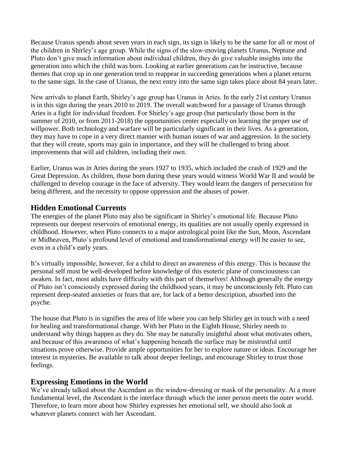Because Uranus spends about seven years in each sign, its sign is likely to be the same for all or most of the children in Shirley's age group. While the signs of the slow-moving planets Uranus, Neptune and Pluto don't give much information about individual children, they do give valuable insights into the generation into which the child was born. Looking at earlier generations can be instructive, because themes that crop up in one generation tend to reappear in succeeding generations when a planet returns to the same sign. In the case of Uranus, the next entry into the same sign takes place about 84 years later.

New arrivals to planet Earth, Shirley's age group has Uranus in Aries. In the early 21st century Uranus is in this sign during the years 2010 to 2019. The overall watchword for a passage of Uranus through Aries is a fight for individual freedom. For Shirley's age group (but particularly those born in the summer of 2010, or from 2011-2018) the opportunities center especially on learning the proper use of willpower. Both technology and warfare will be particularly significant in their lives. As a generation, they may have to cope in a very direct manner with human issues of war and aggression. In the society that they will create, sports may gain in importance, and they will be challenged to bring about improvements that will aid children, including their own.

Earlier, Uranus was in Aries during the years 1927 to 1935, which included the crash of 1929 and the Great Depression. As children, those born during these years would witness World War II and would be challenged to develop courage in the face of adversity. They would learn the dangers of persecution for being different, and the necessity to oppose oppression and the abuses of power.

#### **Hidden Emotional Currents**

The energies of the planet Pluto may also be significant in Shirley's emotional life. Because Pluto represents our deepest reservoirs of emotional energy, its qualities are not usually openly expressed in childhood. However, when Pluto connects to a major astrological point like the Sun, Moon, Ascendant or Midheaven, Pluto's profound level of emotional and transformational energy will be easier to see, even in a child's early years.

It's virtually impossible, however, for a child to direct an awareness of this energy. This is because the personal self must be well-developed before knowledge of this esoteric plane of consciousness can awaken. In fact, most adults have difficulty with this part of themselves! Although generally the energy of Pluto isn't consciously expressed during the childhood years, it may be unconsciously felt. Pluto can represent deep-seated anxieties or fears that are, for lack of a better description, absorbed into the psyche.

The house that Pluto is in signifies the area of life where you can help Shirley get in touch with a need for healing and transformational change. With her Pluto in the Eighth House, Shirley needs to understand why things happen as they do. She may be naturally insightful about what motivates others, and because of this awareness of what's happening beneath the surface may be mistrustful until situations prove otherwise. Provide ample opportunities for her to explore nature or ideas. Encourage her interest in mysteries. Be available to talk about deeper feelings, and encourage Shirley to trust those feelings.

#### **Expressing Emotions in the World**

We've already talked about the Ascendant as the window-dressing or mask of the personality. At a more fundamental level, the Ascendant is the interface through which the inner person meets the outer world. Therefore, to learn more about how Shirley expresses her emotional self, we should also look at whatever planets connect with her Ascendant.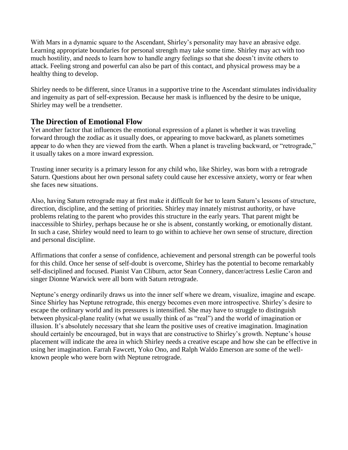With Mars in a dynamic square to the Ascendant, Shirley's personality may have an abrasive edge. Learning appropriate boundaries for personal strength may take some time. Shirley may act with too much hostility, and needs to learn how to handle angry feelings so that she doesn't invite others to attack. Feeling strong and powerful can also be part of this contact, and physical prowess may be a healthy thing to develop.

Shirley needs to be different, since Uranus in a supportive trine to the Ascendant stimulates individuality and ingenuity as part of self-expression. Because her mask is influenced by the desire to be unique, Shirley may well be a trendsetter.

#### **The Direction of Emotional Flow**

Yet another factor that influences the emotional expression of a planet is whether it was traveling forward through the zodiac as it usually does, or appearing to move backward, as planets sometimes appear to do when they are viewed from the earth. When a planet is traveling backward, or "retrograde," it usually takes on a more inward expression.

Trusting inner security is a primary lesson for any child who, like Shirley, was born with a retrograde Saturn. Questions about her own personal safety could cause her excessive anxiety, worry or fear when she faces new situations.

Also, having Saturn retrograde may at first make it difficult for her to learn Saturn's lessons of structure, direction, discipline, and the setting of priorities. Shirley may innately mistrust authority, or have problems relating to the parent who provides this structure in the early years. That parent might be inaccessible to Shirley, perhaps because he or she is absent, constantly working, or emotionally distant. In such a case, Shirley would need to learn to go within to achieve her own sense of structure, direction and personal discipline.

Affirmations that confer a sense of confidence, achievement and personal strength can be powerful tools for this child. Once her sense of self-doubt is overcome, Shirley has the potential to become remarkably self-disciplined and focused. Pianist Van Cliburn, actor Sean Connery, dancer/actress Leslie Caron and singer Dionne Warwick were all born with Saturn retrograde.

Neptune's energy ordinarily draws us into the inner self where we dream, visualize, imagine and escape. Since Shirley has Neptune retrograde, this energy becomes even more introspective. Shirley's desire to escape the ordinary world and its pressures is intensified. She may have to struggle to distinguish between physical-plane reality (what we usually think of as "real") and the world of imagination or illusion. It's absolutely necessary that she learn the positive uses of creative imagination. Imagination should certainly be encouraged, but in ways that are constructive to Shirley's growth. Neptune's house placement will indicate the area in which Shirley needs a creative escape and how she can be effective in using her imagination. Farrah Fawcett, Yoko Ono, and Ralph Waldo Emerson are some of the wellknown people who were born with Neptune retrograde.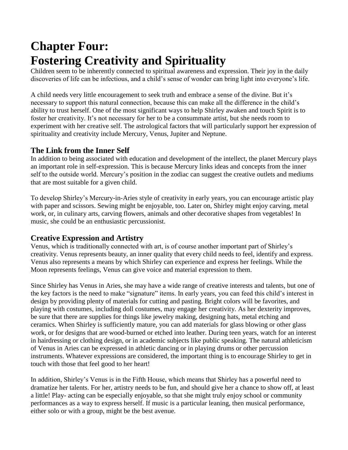### **Chapter Four: Fostering Creativity and Spirituality**

Children seem to be inherently connected to spiritual awareness and expression. Their joy in the daily discoveries of life can be infectious, and a child's sense of wonder can bring light into everyone's life.

A child needs very little encouragement to seek truth and embrace a sense of the divine. But it's necessary to support this natural connection, because this can make all the difference in the child's ability to trust herself. One of the most significant ways to help Shirley awaken and touch Spirit is to foster her creativity. It's not necessary for her to be a consummate artist, but she needs room to experiment with her creative self. The astrological factors that will particularly support her expression of spirituality and creativity include Mercury, Venus, Jupiter and Neptune.

#### **The Link from the Inner Self**

In addition to being associated with education and development of the intellect, the planet Mercury plays an important role in self-expression. This is because Mercury links ideas and concepts from the inner self to the outside world. Mercury's position in the zodiac can suggest the creative outlets and mediums that are most suitable for a given child.

To develop Shirley's Mercury-in-Aries style of creativity in early years, you can encourage artistic play with paper and scissors. Sewing might be enjoyable, too. Later on, Shirley might enjoy carving, metal work, or, in culinary arts, carving flowers, animals and other decorative shapes from vegetables! In music, she could be an enthusiastic percussionist.

#### **Creative Expression and Artistry**

Venus, which is traditionally connected with art, is of course another important part of Shirley's creativity. Venus represents beauty, an inner quality that every child needs to feel, identify and express. Venus also represents a means by which Shirley can experience and express her feelings. While the Moon represents feelings, Venus can give voice and material expression to them.

Since Shirley has Venus in Aries, she may have a wide range of creative interests and talents, but one of the key factors is the need to make "signature" items. In early years, you can feed this child's interest in design by providing plenty of materials for cutting and pasting. Bright colors will be favorites, and playing with costumes, including doll costumes, may engage her creativity. As her dexterity improves, be sure that there are supplies for things like jewelry making, designing hats, metal etching and ceramics. When Shirley is sufficiently mature, you can add materials for glass blowing or other glass work, or for designs that are wood-burned or etched into leather. During teen years, watch for an interest in hairdressing or clothing design, or in academic subjects like public speaking. The natural athleticism of Venus in Aries can be expressed in athletic dancing or in playing drums or other percussion instruments. Whatever expressions are considered, the important thing is to encourage Shirley to get in touch with those that feel good to her heart!

In addition, Shirley's Venus is in the Fifth House, which means that Shirley has a powerful need to dramatize her talents. For her, artistry needs to be fun, and should give her a chance to show off, at least a little! Play- acting can be especially enjoyable, so that she might truly enjoy school or community performances as a way to express herself. If music is a particular leaning, then musical performance, either solo or with a group, might be the best avenue.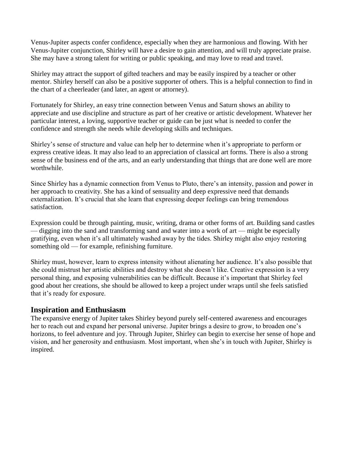Venus-Jupiter aspects confer confidence, especially when they are harmonious and flowing. With her Venus-Jupiter conjunction, Shirley will have a desire to gain attention, and will truly appreciate praise. She may have a strong talent for writing or public speaking, and may love to read and travel.

Shirley may attract the support of gifted teachers and may be easily inspired by a teacher or other mentor. Shirley herself can also be a positive supporter of others. This is a helpful connection to find in the chart of a cheerleader (and later, an agent or attorney).

Fortunately for Shirley, an easy trine connection between Venus and Saturn shows an ability to appreciate and use discipline and structure as part of her creative or artistic development. Whatever her particular interest, a loving, supportive teacher or guide can be just what is needed to confer the confidence and strength she needs while developing skills and techniques.

Shirley's sense of structure and value can help her to determine when it's appropriate to perform or express creative ideas. It may also lead to an appreciation of classical art forms. There is also a strong sense of the business end of the arts, and an early understanding that things that are done well are more worthwhile.

Since Shirley has a dynamic connection from Venus to Pluto, there's an intensity, passion and power in her approach to creativity. She has a kind of sensuality and deep expressive need that demands externalization. It's crucial that she learn that expressing deeper feelings can bring tremendous satisfaction.

Expression could be through painting, music, writing, drama or other forms of art. Building sand castles — digging into the sand and transforming sand and water into a work of art — might be especially gratifying, even when it's all ultimately washed away by the tides. Shirley might also enjoy restoring something old — for example, refinishing furniture.

Shirley must, however, learn to express intensity without alienating her audience. It's also possible that she could mistrust her artistic abilities and destroy what she doesn't like. Creative expression is a very personal thing, and exposing vulnerabilities can be difficult. Because it's important that Shirley feel good about her creations, she should be allowed to keep a project under wraps until she feels satisfied that it's ready for exposure.

#### **Inspiration and Enthusiasm**

The expansive energy of Jupiter takes Shirley beyond purely self-centered awareness and encourages her to reach out and expand her personal universe. Jupiter brings a desire to grow, to broaden one's horizons, to feel adventure and joy. Through Jupiter, Shirley can begin to exercise her sense of hope and vision, and her generosity and enthusiasm. Most important, when she's in touch with Jupiter, Shirley is inspired.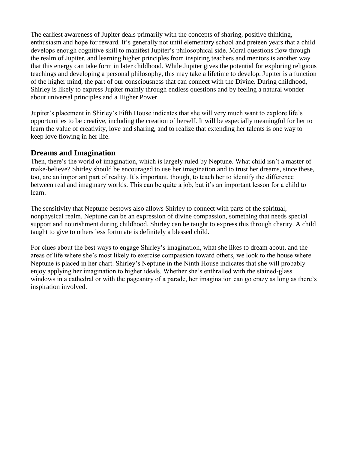The earliest awareness of Jupiter deals primarily with the concepts of sharing, positive thinking, enthusiasm and hope for reward. It's generally not until elementary school and preteen years that a child develops enough cognitive skill to manifest Jupiter's philosophical side. Moral questions flow through the realm of Jupiter, and learning higher principles from inspiring teachers and mentors is another way that this energy can take form in later childhood. While Jupiter gives the potential for exploring religious teachings and developing a personal philosophy, this may take a lifetime to develop. Jupiter is a function of the higher mind, the part of our consciousness that can connect with the Divine. During childhood, Shirley is likely to express Jupiter mainly through endless questions and by feeling a natural wonder about universal principles and a Higher Power.

Jupiter's placement in Shirley's Fifth House indicates that she will very much want to explore life's opportunities to be creative, including the creation of herself. It will be especially meaningful for her to learn the value of creativity, love and sharing, and to realize that extending her talents is one way to keep love flowing in her life.

#### **Dreams and Imagination**

Then, there's the world of imagination, which is largely ruled by Neptune. What child isn't a master of make-believe? Shirley should be encouraged to use her imagination and to trust her dreams, since these, too, are an important part of reality. It's important, though, to teach her to identify the difference between real and imaginary worlds. This can be quite a job, but it's an important lesson for a child to learn.

The sensitivity that Neptune bestows also allows Shirley to connect with parts of the spiritual, nonphysical realm. Neptune can be an expression of divine compassion, something that needs special support and nourishment during childhood. Shirley can be taught to express this through charity. A child taught to give to others less fortunate is definitely a blessed child.

For clues about the best ways to engage Shirley's imagination, what she likes to dream about, and the areas of life where she's most likely to exercise compassion toward others, we look to the house where Neptune is placed in her chart. Shirley's Neptune in the Ninth House indicates that she will probably enjoy applying her imagination to higher ideals. Whether she's enthralled with the stained-glass windows in a cathedral or with the pageantry of a parade, her imagination can go crazy as long as there's inspiration involved.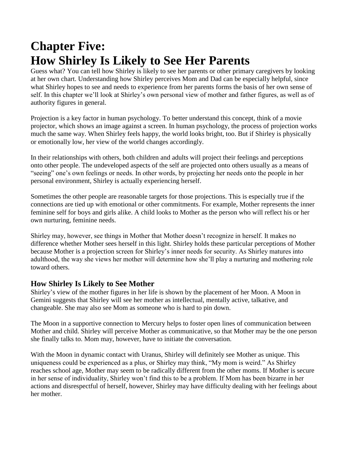## **Chapter Five: How Shirley Is Likely to See Her Parents**

Guess what? You can tell how Shirley is likely to see her parents or other primary caregivers by looking at her own chart. Understanding how Shirley perceives Mom and Dad can be especially helpful, since what Shirley hopes to see and needs to experience from her parents forms the basis of her own sense of self. In this chapter we'll look at Shirley's own personal view of mother and father figures, as well as of authority figures in general.

Projection is a key factor in human psychology. To better understand this concept, think of a movie projector, which shows an image against a screen. In human psychology, the process of projection works much the same way. When Shirley feels happy, the world looks bright, too. But if Shirley is physically or emotionally low, her view of the world changes accordingly.

In their relationships with others, both children and adults will project their feelings and perceptions onto other people. The undeveloped aspects of the self are projected onto others usually as a means of "seeing" one's own feelings or needs. In other words, by projecting her needs onto the people in her personal environment, Shirley is actually experiencing herself.

Sometimes the other people are reasonable targets for those projections. This is especially true if the connections are tied up with emotional or other commitments. For example, Mother represents the inner feminine self for boys and girls alike. A child looks to Mother as the person who will reflect his or her own nurturing, feminine needs.

Shirley may, however, see things in Mother that Mother doesn't recognize in herself. It makes no difference whether Mother sees herself in this light. Shirley holds these particular perceptions of Mother because Mother is a projection screen for Shirley's inner needs for security. As Shirley matures into adulthood, the way she views her mother will determine how she'll play a nurturing and mothering role toward others.

#### **How Shirley Is Likely to See Mother**

Shirley's view of the mother figures in her life is shown by the placement of her Moon. A Moon in Gemini suggests that Shirley will see her mother as intellectual, mentally active, talkative, and changeable. She may also see Mom as someone who is hard to pin down.

The Moon in a supportive connection to Mercury helps to foster open lines of communication between Mother and child. Shirley will perceive Mother as communicative, so that Mother may be the one person she finally talks to. Mom may, however, have to initiate the conversation.

With the Moon in dynamic contact with Uranus, Shirley will definitely see Mother as unique. This uniqueness could be experienced as a plus, or Shirley may think, "My mom is weird." As Shirley reaches school age, Mother may seem to be radically different from the other moms. If Mother is secure in her sense of individuality, Shirley won't find this to be a problem. If Mom has been bizarre in her actions and disrespectful of herself, however, Shirley may have difficulty dealing with her feelings about her mother.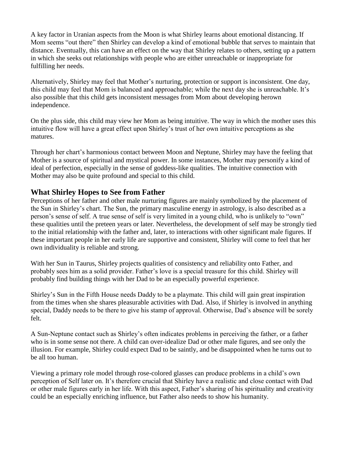A key factor in Uranian aspects from the Moon is what Shirley learns about emotional distancing. If Mom seems "out there" then Shirley can develop a kind of emotional bubble that serves to maintain that distance. Eventually, this can have an effect on the way that Shirley relates to others, setting up a pattern in which she seeks out relationships with people who are either unreachable or inappropriate for fulfilling her needs.

Alternatively, Shirley may feel that Mother's nurturing, protection or support is inconsistent. One day, this child may feel that Mom is balanced and approachable; while the next day she is unreachable. It's also possible that this child gets inconsistent messages from Mom about developing herown independence.

On the plus side, this child may view her Mom as being intuitive. The way in which the mother uses this intuitive flow will have a great effect upon Shirley's trust of her own intuitive perceptions as she matures.

Through her chart's harmonious contact between Moon and Neptune, Shirley may have the feeling that Mother is a source of spiritual and mystical power. In some instances, Mother may personify a kind of ideal of perfection, especially in the sense of goddess-like qualities. The intuitive connection with Mother may also be quite profound and special to this child.

#### **What Shirley Hopes to See from Father**

Perceptions of her father and other male nurturing figures are mainly symbolized by the placement of the Sun in Shirley's chart. The Sun, the primary masculine energy in astrology, is also described as a person's sense of self. A true sense of self is very limited in a young child, who is unlikely to "own" these qualities until the preteen years or later. Nevertheless, the development of self may be strongly tied to the initial relationship with the father and, later, to interactions with other significant male figures. If these important people in her early life are supportive and consistent, Shirley will come to feel that her own individuality is reliable and strong.

With her Sun in Taurus, Shirley projects qualities of consistency and reliability onto Father, and probably sees him as a solid provider. Father's love is a special treasure for this child. Shirley will probably find building things with her Dad to be an especially powerful experience.

Shirley's Sun in the Fifth House needs Daddy to be a playmate. This child will gain great inspiration from the times when she shares pleasurable activities with Dad. Also, if Shirley is involved in anything special, Daddy needs to be there to give his stamp of approval. Otherwise, Dad's absence will be sorely felt.

A Sun-Neptune contact such as Shirley's often indicates problems in perceiving the father, or a father who is in some sense not there. A child can over-idealize Dad or other male figures, and see only the illusion. For example, Shirley could expect Dad to be saintly, and be disappointed when he turns out to be all too human.

Viewing a primary role model through rose-colored glasses can produce problems in a child's own perception of Self later on. It's therefore crucial that Shirley have a realistic and close contact with Dad or other male figures early in her life. With this aspect, Father's sharing of his spirituality and creativity could be an especially enriching influence, but Father also needs to show his humanity.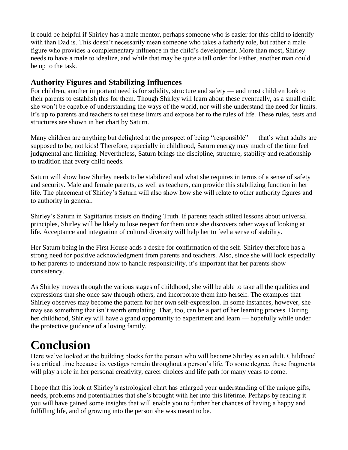It could be helpful if Shirley has a male mentor, perhaps someone who is easier for this child to identify with than Dad is. This doesn't necessarily mean someone who takes a fatherly role, but rather a male figure who provides a complementary influence in the child's development. More than most, Shirley needs to have a male to idealize, and while that may be quite a tall order for Father, another man could be up to the task.

#### **Authority Figures and Stabilizing Influences**

For children, another important need is for solidity, structure and safety — and most children look to their parents to establish this for them. Though Shirley will learn about these eventually, as a small child she won't be capable of understanding the ways of the world, nor will she understand the need for limits. It's up to parents and teachers to set these limits and expose her to the rules of life. These rules, tests and structures are shown in her chart by Saturn.

Many children are anything but delighted at the prospect of being "responsible" — that's what adults are supposed to be, not kids! Therefore, especially in childhood, Saturn energy may much of the time feel judgmental and limiting. Nevertheless, Saturn brings the discipline, structure, stability and relationship to tradition that every child needs.

Saturn will show how Shirley needs to be stabilized and what she requires in terms of a sense of safety and security. Male and female parents, as well as teachers, can provide this stabilizing function in her life. The placement of Shirley's Saturn will also show how she will relate to other authority figures and to authority in general.

Shirley's Saturn in Sagittarius insists on finding Truth. If parents teach stilted lessons about universal principles, Shirley will be likely to lose respect for them once she discovers other ways of looking at life. Acceptance and integration of cultural diversity will help her to feel a sense of stability.

Her Saturn being in the First House adds a desire for confirmation of the self. Shirley therefore has a strong need for positive acknowledgment from parents and teachers. Also, since she will look especially to her parents to understand how to handle responsibility, it's important that her parents show consistency.

As Shirley moves through the various stages of childhood, she will be able to take all the qualities and expressions that she once saw through others, and incorporate them into herself. The examples that Shirley observes may become the pattern for her own self-expression. In some instances, however, she may see something that isn't worth emulating. That, too, can be a part of her learning process. During her childhood, Shirley will have a grand opportunity to experiment and learn — hopefully while under the protective guidance of a loving family.

### **Conclusion**

Here we've looked at the building blocks for the person who will become Shirley as an adult. Childhood is a critical time because its vestiges remain throughout a person's life. To some degree, these fragments will play a role in her personal creativity, career choices and life path for many years to come.

I hope that this look at Shirley's astrological chart has enlarged your understanding of the unique gifts, needs, problems and potentialities that she's brought with her into this lifetime. Perhaps by reading it you will have gained some insights that will enable you to further her chances of having a happy and fulfilling life, and of growing into the person she was meant to be.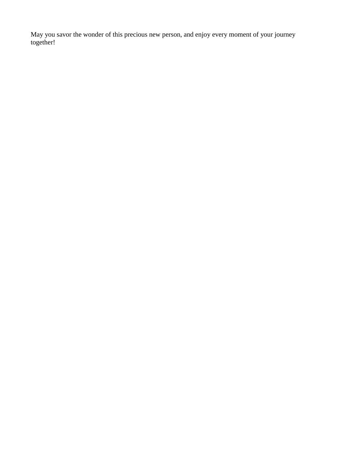May you savor the wonder of this precious new person, and enjoy every moment of your journey together!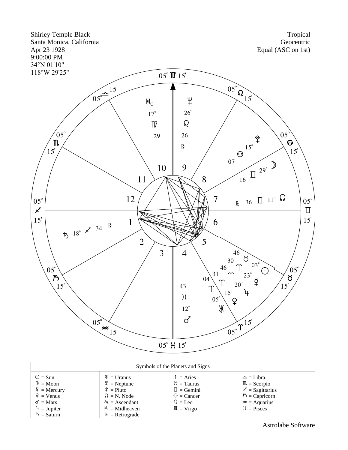

| Symbols of the Planets and Signs                                                                                                                                  |                                                                                                                                                      |                                                                                                                                                    |                                                                                                                                    |  |  |  |  |
|-------------------------------------------------------------------------------------------------------------------------------------------------------------------|------------------------------------------------------------------------------------------------------------------------------------------------------|----------------------------------------------------------------------------------------------------------------------------------------------------|------------------------------------------------------------------------------------------------------------------------------------|--|--|--|--|
| $\odot$ = Sun<br>$\mathcal{D} = \mathbf{M}$ oon<br>$\frac{8}{4}$ = Mercury<br>$\hat{P}$ = Venus<br>$\sigma' = \text{Mars}$<br>$4 = Jupiter$<br>$\bar{D}$ = Saturn | $\mathcal{H} =$ Uranus<br>$\Psi$ = Neptune<br>$\hat{P} =$ Pluto<br>$\Omega = N$ . Node<br>$A_s =$ Ascendant<br>$M_c$ = Midheaven<br>$R =$ Retrograde | $T = \text{Aries}$<br>$\delta$ = Taurus<br>$\mathbb{I}$ = Gemini<br>$\mathcal{Q} =$ Cancer<br>$\Omega = \text{Leo}$<br>$\mathbb{M} = \text{Virgo}$ | $\approx$ = Libra<br>$\mathbb{R}$ = Scorpio<br>$\chi$ = Sagittarius<br>$\beta$ = Capricorn<br>$\approx$ = Aquarius<br>$H =$ Pisces |  |  |  |  |

Astrolabe Software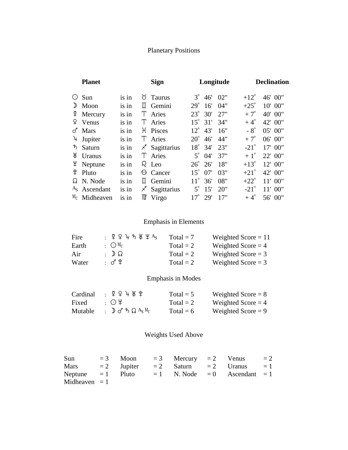#### Planetary Positions

| <b>Planet</b> |                             |       | <b>Sign</b>               |                  | Longitude  |               | <b>Declination</b> |  |
|---------------|-----------------------------|-------|---------------------------|------------------|------------|---------------|--------------------|--|
|               | $\odot$ Sun                 | is in | $\sigma$ Taurus           | $3^\circ$        | 46' 02"    | $+12^{\circ}$ | 46' 00"            |  |
| $\mathcal{D}$ | Moon                        | is in | Gemini                    | $29^\circ$       | 16'<br>04" | $+25^\circ$   | 10' 00"            |  |
|               | $\frac{8}{7}$ Mercury       | is in | T Aries                   | $23^{\circ}$ 30' | 27"        | $+7^\circ$    | 40' 00"            |  |
|               | $\circ$ Venus               | is in | T Aries                   | $15^{\circ}$ 31' | 34"        | $+4^\circ$    | 42' 00"            |  |
| ♂             | <b>Mars</b>                 | is in | H Pisces                  | $12^{\circ}$ 43' | 16"        | $-8^\circ$    | 05' 00"            |  |
|               | $\frac{1}{2}$ Jupiter       | is in | T Aries                   | $20^{\circ}$     | 44"<br>46' | $+7^\circ$    | 06' 00"            |  |
| ゎ             | Saturn                      | is in | $\mathcal{F}$ Sagittarius | $18^{\circ}$ 34' | 23"        | $-21^\circ$   | 17' 00"            |  |
| Ж             | <b>Uranus</b>               | is in | Υ<br>Aries                | $5^\circ$ 04'    | 37"        | $+1^\circ$    | 22' 00"            |  |
|               | $\frac{\Psi}{\Psi}$ Neptune | is in | $\Omega$ Leo              | $26^{\circ}$     | 18"<br>26' | $+13^\circ$   | $12'$ 00"          |  |
| ิ¥            | Pluto                       | is in | <b>6</b> Cancer           | $15^{\circ}$     | 03"<br>07' | $+21^{\circ}$ | 42' 00"            |  |
|               | $\Omega$ N. Node            | is in | Gemini                    | $11^{\circ}$     | 08"<br>36' | $+22^\circ$   | $11'$ 00"          |  |
|               | $AS$ Ascendant              | is in | Sagittarius<br>Χ          | $5^\circ$        | 20"<br>15' | $-21^\circ$   | $11'$ 00"          |  |
|               | $M_C$ Midheaven             | is in | ₩<br>Virgo                | $17^{\circ}$     | 17"<br>29' | $+4^\circ$    | 56' 00"            |  |

#### Emphasis in Elements

| Fire  | $\frac{1}{2}$ Φ Φ μ π λ Ψ Ας   | $Total = 7$ | Weighted Score $= 11$ |
|-------|--------------------------------|-------------|-----------------------|
| Earth | $\cdot$ $\odot$ M <sub>C</sub> | Total $= 2$ | Weighted Score $=$ 4  |
| Air   | $\Omega$ : $\Omega$            | Total $= 2$ | Weighted Score $=$ 3  |
| Water | : ♂ *                          | Total $= 2$ | Weighted Score $=$ 3  |

#### Emphasis in Modes

| Cardinal | $\frac{1}{2}$ ጀ ይ ነ Ж ະ | Total = $5$ | Weighted Score $= 8$ |
|----------|-------------------------|-------------|----------------------|
| Fixed    | ・(・)半                   | Total $= 2$ | Weighted Score $=$ 4 |
| Mutable  | :D♂ちQ $A_S M_C$         | Total = $6$ | Weighted Score $= 9$ |

#### Weights Used Above

| Sun                 |  | $= 3$ Moon $= 3$ Mercury $= 2$ Venus |                                               | $=2$ |
|---------------------|--|--------------------------------------|-----------------------------------------------|------|
| Mars                |  |                                      | $= 2$ Jupiter $= 2$ Saturn $= 2$ Uranus $= 1$ |      |
| Neptune $= 1$ Pluto |  |                                      | $= 1$ N. Node $= 0$ Ascendant $= 1$           |      |
| Midheaven $= 1$     |  |                                      |                                               |      |